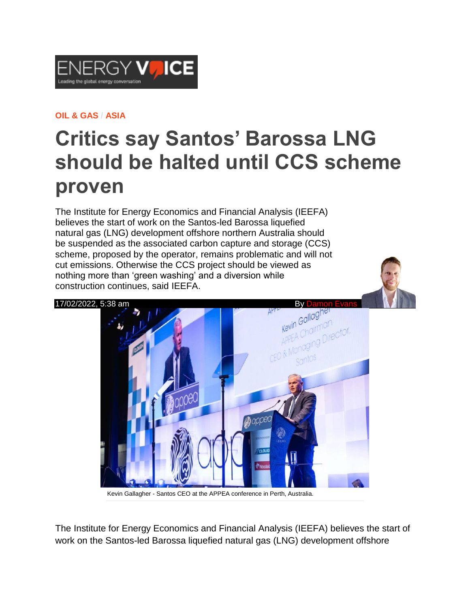

## **OIL & [GAS](https://www.energyvoice.com/category/oilandgas/) / [ASIA](https://www.energyvoice.com/category/oilandgas/asia/)**

## **Critics say Santos' Barossa LNG should be halted until CCS scheme proven**

The Institute for Energy Economics and Financial Analysis (IEEFA) believes the start of work on the Santos-led Barossa liquefied natural gas (LNG) development offshore northern Australia should be suspended as the associated carbon capture and storage (CCS) scheme, proposed by the operator, remains problematic and will not cut emissions. Otherwise the CCS project should be viewed as nothing more than 'green washing' and a diversion while construction continues, said IEEFA.



Kevin Gallagher - Santos CEO at the APPEA conference in Perth, Australia.

The Institute for Energy Economics and Financial Analysis (IEEFA) believes the start of work on the Santos-led Barossa liquefied natural gas (LNG) development offshore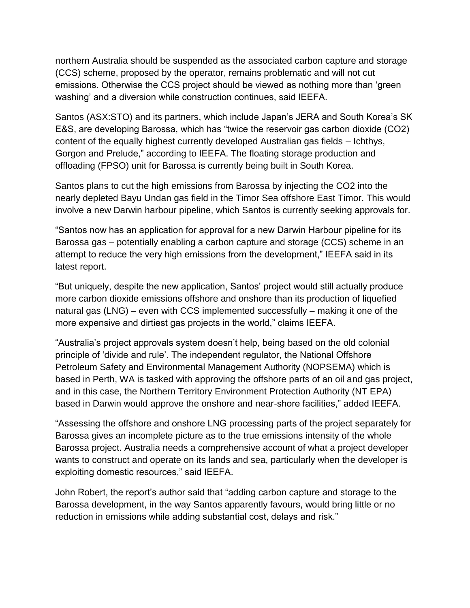northern Australia should be suspended as the associated carbon capture and storage (CCS) scheme, proposed by the operator, remains problematic and will not cut emissions. Otherwise the CCS project should be viewed as nothing more than 'green washing' and a diversion while construction continues, said IEEFA.

Santos (ASX:STO) and its partners, which include Japan's JERA and South Korea's SK E&S, are developing Barossa, which has "twice the reservoir gas carbon dioxide (CO2) content of the equally highest currently developed Australian gas fields – Ichthys, Gorgon and Prelude," according to IEEFA. The floating storage production and offloading (FPSO) unit for Barossa is currently being built in South Korea.

Santos plans to cut the high emissions from Barossa by injecting the CO2 into the nearly depleted Bayu Undan gas field in the Timor Sea offshore East Timor. This would involve a new Darwin harbour pipeline, which Santos is currently seeking approvals for.

"Santos now has an application for approval for a new Darwin Harbour pipeline for its Barossa gas – potentially enabling a carbon capture and storage (CCS) scheme in an attempt to reduce the very high emissions from the development," IEEFA said in its latest report.

"But uniquely, despite the new application, Santos' project would still actually produce more carbon dioxide emissions offshore and onshore than its production of liquefied natural gas (LNG) – even with CCS implemented successfully – making it one of the more expensive and dirtiest gas projects in the world," claims IEEFA.

"Australia's project approvals system doesn't help, being based on the old colonial principle of 'divide and rule'. The independent regulator, the National Offshore Petroleum Safety and Environmental Management Authority (NOPSEMA) which is based in Perth, WA is tasked with approving the offshore parts of an oil and gas project, and in this case, the Northern Territory Environment Protection Authority (NT EPA) based in Darwin would approve the onshore and near-shore facilities," added IEEFA.

"Assessing the offshore and onshore LNG processing parts of the project separately for Barossa gives an incomplete picture as to the true emissions intensity of the whole Barossa project. Australia needs a comprehensive account of what a project developer wants to construct and operate on its lands and sea, particularly when the developer is exploiting domestic resources," said IEEFA.

John Robert, the report's author said that "adding carbon capture and storage to the Barossa development, in the way Santos apparently favours, would bring little or no reduction in emissions while adding substantial cost, delays and risk."